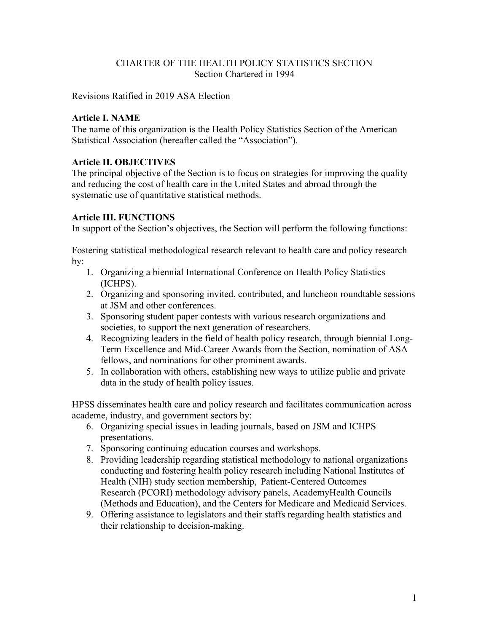# CHARTER OF THE HEALTH POLICY STATISTICS SECTION Section Chartered in 1994

Revisions Ratified in 2019 ASA Election

#### **Article I. NAME**

The name of this organization is the Health Policy Statistics Section of the American Statistical Association (hereafter called the "Association").

#### **Article II. OBJECTIVES**

The principal objective of the Section is to focus on strategies for improving the quality and reducing the cost of health care in the United States and abroad through the systematic use of quantitative statistical methods.

#### **Article III. FUNCTIONS**

In support of the Section's objectives, the Section will perform the following functions:

Fostering statistical methodological research relevant to health care and policy research by:

- 1. Organizing a biennial International Conference on Health Policy Statistics (ICHPS).
- 2. Organizing and sponsoring invited, contributed, and luncheon roundtable sessions at JSM and other conferences.
- 3. Sponsoring student paper contests with various research organizations and societies, to support the next generation of researchers.
- 4. Recognizing leaders in the field of health policy research, through biennial Long-Term Excellence and Mid-Career Awards from the Section, nomination of ASA fellows, and nominations for other prominent awards.
- 5. In collaboration with others, establishing new ways to utilize public and private data in the study of health policy issues.

HPSS disseminates health care and policy research and facilitates communication across academe, industry, and government sectors by:

- 6. Organizing special issues in leading journals, based on JSM and ICHPS presentations.
- 7. Sponsoring continuing education courses and workshops.
- 8. Providing leadership regarding statistical methodology to national organizations conducting and fostering health policy research including National Institutes of Health (NIH) study section membership, Patient-Centered Outcomes Research (PCORI) methodology advisory panels, AcademyHealth Councils (Methods and Education), and the Centers for Medicare and Medicaid Services.
- 9. Offering assistance to legislators and their staffs regarding health statistics and their relationship to decision-making.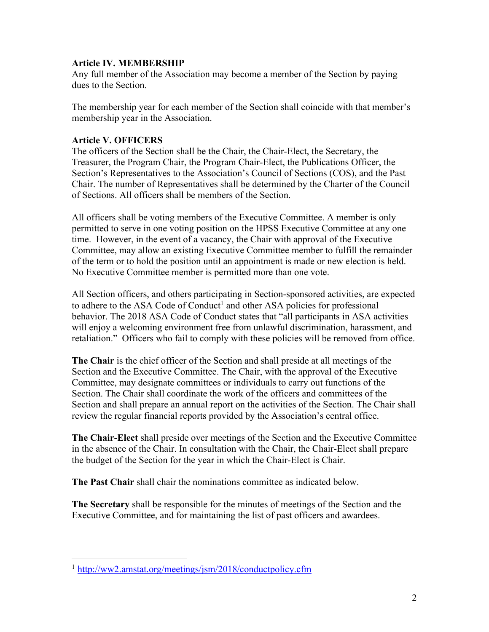### **Article IV. MEMBERSHIP**

Any full member of the Association may become a member of the Section by paying dues to the Section.

The membership year for each member of the Section shall coincide with that member's membership year in the Association.

# **Article V. OFFICERS**

The officers of the Section shall be the Chair, the Chair-Elect, the Secretary, the Treasurer, the Program Chair, the Program Chair-Elect, the Publications Officer, the Section's Representatives to the Association's Council of Sections (COS), and the Past Chair. The number of Representatives shall be determined by the Charter of the Council of Sections. All officers shall be members of the Section.

All officers shall be voting members of the Executive Committee. A member is only permitted to serve in one voting position on the HPSS Executive Committee at any one time. However, in the event of a vacancy, the Chair with approval of the Executive Committee, may allow an existing Executive Committee member to fulfill the remainder of the term or to hold the position until an appointment is made or new election is held. No Executive Committee member is permitted more than one vote.

All Section officers, and others participating in Section-sponsored activities, are expected to adhere to the ASA Code of Conduct<sup>1</sup> and other ASA policies for professional behavior. The 2018 ASA Code of Conduct states that "all participants in ASA activities will enjoy a welcoming environment free from unlawful discrimination, harassment, and retaliation." Officers who fail to comply with these policies will be removed from office.

**The Chair** is the chief officer of the Section and shall preside at all meetings of the Section and the Executive Committee. The Chair, with the approval of the Executive Committee, may designate committees or individuals to carry out functions of the Section. The Chair shall coordinate the work of the officers and committees of the Section and shall prepare an annual report on the activities of the Section. The Chair shall review the regular financial reports provided by the Association's central office.

**The Chair-Elect** shall preside over meetings of the Section and the Executive Committee in the absence of the Chair. In consultation with the Chair, the Chair-Elect shall prepare the budget of the Section for the year in which the Chair-Elect is Chair.

**The Past Chair** shall chair the nominations committee as indicated below.

**The Secretary** shall be responsible for the minutes of meetings of the Section and the Executive Committee, and for maintaining the list of past officers and awardees.

<sup>1</sup> http://ww2.amstat.org/meetings/jsm/2018/conductpolicy.cfm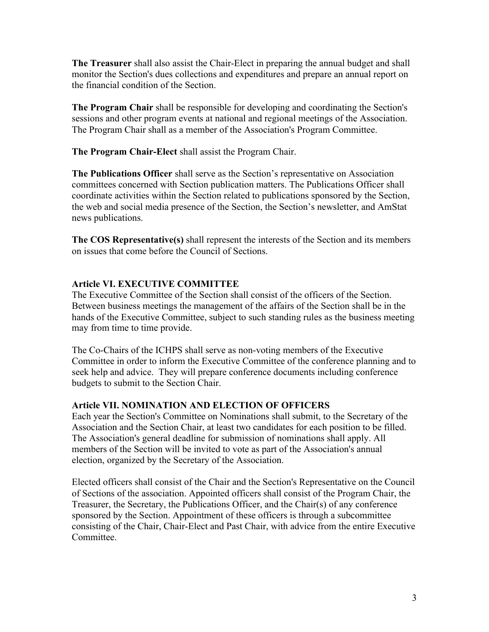**The Treasurer** shall also assist the Chair-Elect in preparing the annual budget and shall monitor the Section's dues collections and expenditures and prepare an annual report on the financial condition of the Section.

**The Program Chair** shall be responsible for developing and coordinating the Section's sessions and other program events at national and regional meetings of the Association. The Program Chair shall as a member of the Association's Program Committee.

**The Program Chair-Elect** shall assist the Program Chair.

**The Publications Officer** shall serve as the Section's representative on Association committees concerned with Section publication matters. The Publications Officer shall coordinate activities within the Section related to publications sponsored by the Section, the web and social media presence of the Section, the Section's newsletter, and AmStat news publications.

**The COS Representative(s)** shall represent the interests of the Section and its members on issues that come before the Council of Sections.

# **Article VI. EXECUTIVE COMMITTEE**

The Executive Committee of the Section shall consist of the officers of the Section. Between business meetings the management of the affairs of the Section shall be in the hands of the Executive Committee, subject to such standing rules as the business meeting may from time to time provide.

The Co-Chairs of the ICHPS shall serve as non-voting members of the Executive Committee in order to inform the Executive Committee of the conference planning and to seek help and advice. They will prepare conference documents including conference budgets to submit to the Section Chair.

# **Article VII. NOMINATION AND ELECTION OF OFFICERS**

Each year the Section's Committee on Nominations shall submit, to the Secretary of the Association and the Section Chair, at least two candidates for each position to be filled. The Association's general deadline for submission of nominations shall apply. All members of the Section will be invited to vote as part of the Association's annual election, organized by the Secretary of the Association.

Elected officers shall consist of the Chair and the Section's Representative on the Council of Sections of the association. Appointed officers shall consist of the Program Chair, the Treasurer, the Secretary, the Publications Officer, and the Chair(s) of any conference sponsored by the Section. Appointment of these officers is through a subcommittee consisting of the Chair, Chair-Elect and Past Chair, with advice from the entire Executive Committee.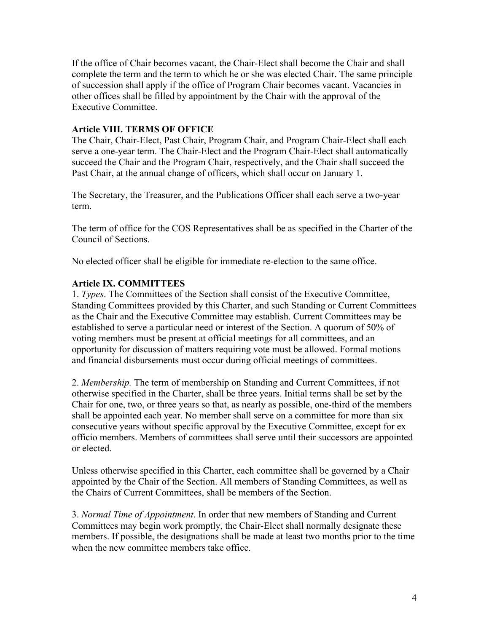If the office of Chair becomes vacant, the Chair-Elect shall become the Chair and shall complete the term and the term to which he or she was elected Chair. The same principle of succession shall apply if the office of Program Chair becomes vacant. Vacancies in other offices shall be filled by appointment by the Chair with the approval of the Executive Committee.

### **Article VIII. TERMS OF OFFICE**

The Chair, Chair-Elect, Past Chair, Program Chair, and Program Chair-Elect shall each serve a one-year term. The Chair-Elect and the Program Chair-Elect shall automatically succeed the Chair and the Program Chair, respectively, and the Chair shall succeed the Past Chair, at the annual change of officers, which shall occur on January 1.

The Secretary, the Treasurer, and the Publications Officer shall each serve a two-year term.

The term of office for the COS Representatives shall be as specified in the Charter of the Council of Sections.

No elected officer shall be eligible for immediate re-election to the same office.

# **Article IX. COMMITTEES**

1. *Types*. The Committees of the Section shall consist of the Executive Committee, Standing Committees provided by this Charter, and such Standing or Current Committees as the Chair and the Executive Committee may establish. Current Committees may be established to serve a particular need or interest of the Section. A quorum of 50% of voting members must be present at official meetings for all committees, and an opportunity for discussion of matters requiring vote must be allowed. Formal motions and financial disbursements must occur during official meetings of committees.

2. *Membership.* The term of membership on Standing and Current Committees, if not otherwise specified in the Charter, shall be three years. Initial terms shall be set by the Chair for one, two, or three years so that, as nearly as possible, one-third of the members shall be appointed each year. No member shall serve on a committee for more than six consecutive years without specific approval by the Executive Committee, except for ex officio members. Members of committees shall serve until their successors are appointed or elected.

Unless otherwise specified in this Charter, each committee shall be governed by a Chair appointed by the Chair of the Section. All members of Standing Committees, as well as the Chairs of Current Committees, shall be members of the Section.

3. *Normal Time of Appointment*. In order that new members of Standing and Current Committees may begin work promptly, the Chair-Elect shall normally designate these members. If possible, the designations shall be made at least two months prior to the time when the new committee members take office.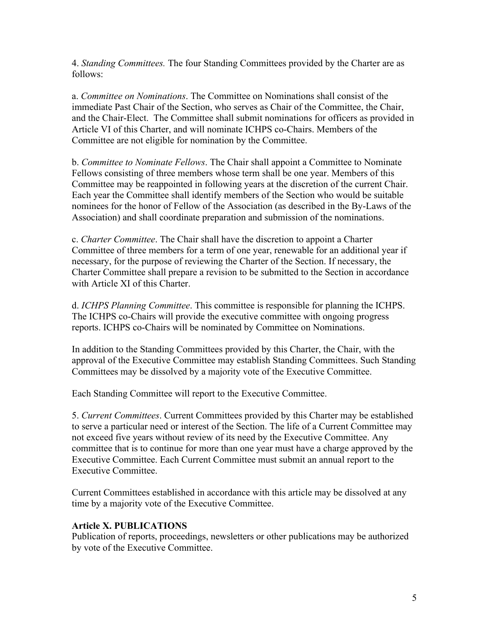4. *Standing Committees.* The four Standing Committees provided by the Charter are as follows:

a. *Committee on Nominations*. The Committee on Nominations shall consist of the immediate Past Chair of the Section, who serves as Chair of the Committee, the Chair, and the Chair-Elect. The Committee shall submit nominations for officers as provided in Article VI of this Charter, and will nominate ICHPS co-Chairs. Members of the Committee are not eligible for nomination by the Committee.

b. *Committee to Nominate Fellows*. The Chair shall appoint a Committee to Nominate Fellows consisting of three members whose term shall be one year. Members of this Committee may be reappointed in following years at the discretion of the current Chair. Each year the Committee shall identify members of the Section who would be suitable nominees for the honor of Fellow of the Association (as described in the By-Laws of the Association) and shall coordinate preparation and submission of the nominations.

c. *Charter Committee*. The Chair shall have the discretion to appoint a Charter Committee of three members for a term of one year, renewable for an additional year if necessary, for the purpose of reviewing the Charter of the Section. If necessary, the Charter Committee shall prepare a revision to be submitted to the Section in accordance with Article XI of this Charter.

d. *ICHPS Planning Committee*. This committee is responsible for planning the ICHPS. The ICHPS co-Chairs will provide the executive committee with ongoing progress reports. ICHPS co-Chairs will be nominated by Committee on Nominations.

In addition to the Standing Committees provided by this Charter, the Chair, with the approval of the Executive Committee may establish Standing Committees. Such Standing Committees may be dissolved by a majority vote of the Executive Committee.

Each Standing Committee will report to the Executive Committee.

5. *Current Committees*. Current Committees provided by this Charter may be established to serve a particular need or interest of the Section. The life of a Current Committee may not exceed five years without review of its need by the Executive Committee. Any committee that is to continue for more than one year must have a charge approved by the Executive Committee. Each Current Committee must submit an annual report to the Executive Committee.

Current Committees established in accordance with this article may be dissolved at any time by a majority vote of the Executive Committee.

#### **Article X. PUBLICATIONS**

Publication of reports, proceedings, newsletters or other publications may be authorized by vote of the Executive Committee.